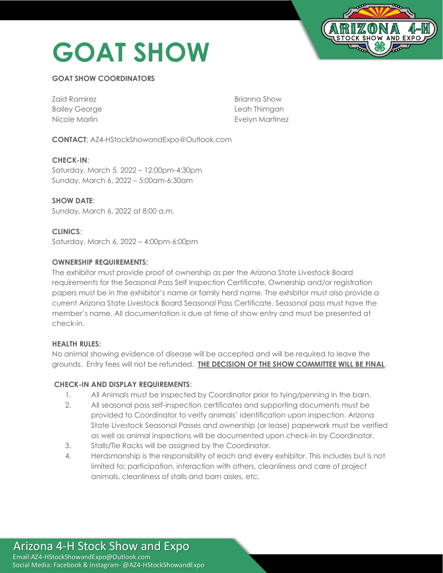# **GOAT SHOW**



# **GOAT SHOW COORDINATORS**

| Zaid Ramirez         | Brianna Show           |
|----------------------|------------------------|
| <b>Bailey George</b> | Leah Thimgan           |
| Nicole Marlin        | <b>Evelyn Martinez</b> |

**CONTACT**: AZ4-HStockShowandExpo@Outlook.com

**CHECK-IN**: Saturday, March 5, 2022 – 12:00pm-4:30pm Sunday, March 6, 2022 – 5:00am-6:30am

**SHOW DATE**: Sunday, March 6, 2022 at 8:00 a.m.

**CLINICS**: Saturday, March 6, 2022 – 4:00pm-6:00pm

# **OWNERSHIP REQUIREMENTS:**

The exhibitor must provide proof of ownership as per the Arizona State Livestock Board requirements for the Seasonal Pass Self Inspection Certificate. Ownership and/or registration papers must be in the exhibitor's name or family herd name. The exhibitor must also provide a current Arizona State Livestock Board Seasonal Pass Certificate. Seasonal pass must have the member's name. All documentation is due at time of show entry and must be presented at check-in.

#### **HEALTH RULES:**

No animal showing evidence of disease will be accepted and will be required to leave the grounds. Entry fees will not be refunded. **THE DECISION OF THE SHOW COMMITTEE WILL BE FINAL**.

#### **CHECK-IN AND DISPLAY REQUIREMENTS**:

- 1. All Animals must be inspected by Coordinator prior to tying/penning in the barn.
- 2. All seasonal pass self-inspection certificates and supporting documents must be provided to Coordinator to verify animals' identification upon inspection. Arizona State Livestock Seasonal Passes and ownership (or lease) paperwork must be verified as well as animal inspections will be documented upon check-in by Coordinator.
- 3. Stalls/Tie Racks will be assigned by the Coordinator.
- 4. Herdsmanship is the responsibility of each and every exhibitor. This includes but is not limited to: participation, interaction with others, cleanliness and care of project animals, cleanliness of stalls and barn aisles, etc.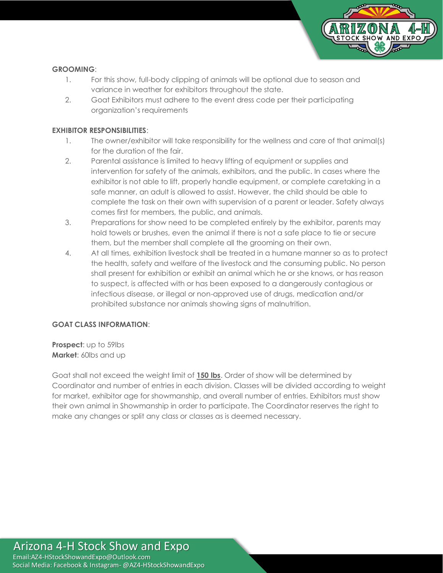

## **GROOMING**:

- 1. For this show, full-body clipping of animals will be optional due to season and variance in weather for exhibitors throughout the state.
- 2. Goat Exhibitors must adhere to the event dress code per their participating organization's requirements

## **EXHIBITOR RESPONSIBILITIES**:

- 1. The owner/exhibitor will take responsibility for the wellness and care of that animal(s) for the duration of the fair.
- 2. Parental assistance is limited to heavy lifting of equipment or supplies and intervention for safety of the animals, exhibitors, and the public. In cases where the exhibitor is not able to lift, properly handle equipment, or complete caretaking in a safe manner, an adult is allowed to assist. However, the child should be able to complete the task on their own with supervision of a parent or leader. Safety always comes first for members, the public, and animals.
- 3. Preparations for show need to be completed entirely by the exhibitor, parents may hold towels or brushes, even the animal if there is not a safe place to tie or secure them, but the member shall complete all the grooming on their own.
- 4. At all times, exhibition livestock shall be treated in a humane manner so as to protect the health, safety and welfare of the livestock and the consuming public. No person shall present for exhibition or exhibit an animal which he or she knows, or has reason to suspect, is affected with or has been exposed to a dangerously contagious or infectious disease, or illegal or non-approved use of drugs, medication and/or prohibited substance nor animals showing signs of malnutrition.

#### **GOAT CLASS INFORMATION**:

**Prospect**: up to 59lbs **Market**: 60lbs and up

Goat shall not exceed the weight limit of **150 lbs**. Order of show will be determined by Coordinator and number of entries in each division. Classes will be divided according to weight for market, exhibitor age for showmanship, and overall number of entries. Exhibitors must show their own animal in Showmanship in order to participate. The Coordinator reserves the right to make any changes or split any class or classes as is deemed necessary.